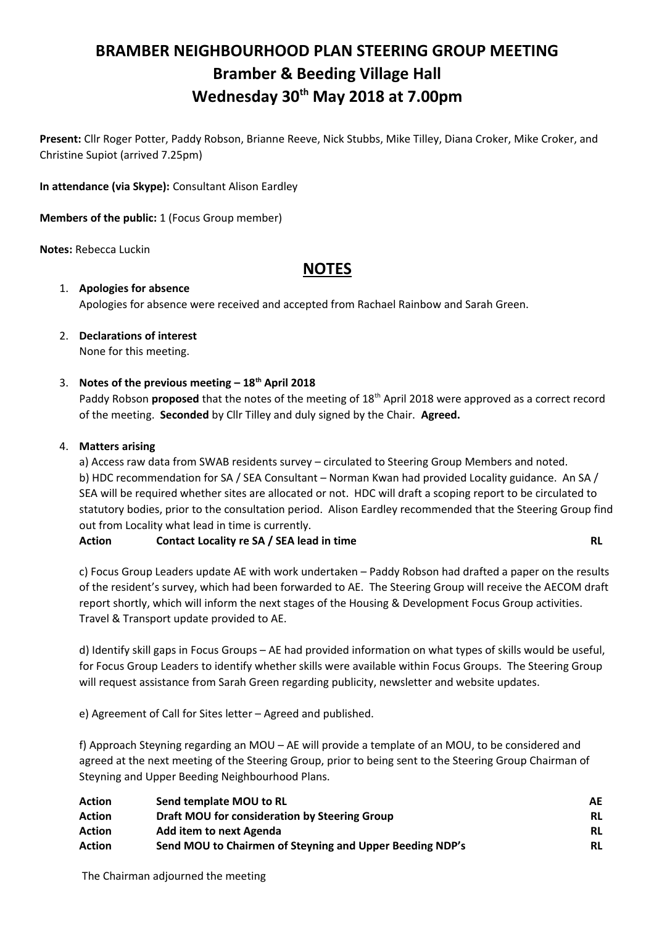# **BRAMBER NEIGHBOURHOOD PLAN STEERING GROUP MEETING Bramber & Beeding Village Hall Wednesday 30th May 2018 at 7.00pm**

**Present:** Cllr Roger Potter, Paddy Robson, Brianne Reeve, Nick Stubbs, Mike Tilley, Diana Croker, Mike Croker, and Christine Supiot (arrived 7.25pm)

**In attendance (via Skype):** Consultant Alison Eardley

**Members of the public:** 1 (Focus Group member)

**Notes:** Rebecca Luckin

# **NOTES**

# 1. **Apologies for absence** Apologies for absence were received and accepted from Rachael Rainbow and Sarah Green.

2. **Declarations of interest** None for this meeting.

# 3. **Notes of the previous meeting – 18th April 2018**

Paddy Robson **proposed** that the notes of the meeting of 18<sup>th</sup> April 2018 were approved as a correct record of the meeting. **Seconded** by Cllr Tilley and duly signed by the Chair. **Agreed.**

#### 4. **Matters arising**

a) Access raw data from SWAB residents survey – circulated to Steering Group Members and noted. b) HDC recommendation for SA / SEA Consultant – Norman Kwan had provided Locality guidance. An SA / SEA will be required whether sites are allocated or not. HDC will draft a scoping report to be circulated to statutory bodies, prior to the consultation period. Alison Eardley recommended that the Steering Group find out from Locality what lead in time is currently.

**Action Contact Locality re SA / SEA lead in time RL**

c) Focus Group Leaders update AE with work undertaken – Paddy Robson had drafted a paper on the results of the resident's survey, which had been forwarded to AE. The Steering Group will receive the AECOM draft report shortly, which will inform the next stages of the Housing & Development Focus Group activities. Travel & Transport update provided to AE.

d) Identify skill gaps in Focus Groups – AE had provided information on what types of skills would be useful, for Focus Group Leaders to identify whether skills were available within Focus Groups. The Steering Group will request assistance from Sarah Green regarding publicity, newsletter and website updates.

e) Agreement of Call for Sites letter – Agreed and published.

f) Approach Steyning regarding an MOU – AE will provide a template of an MOU, to be considered and agreed at the next meeting of the Steering Group, prior to being sent to the Steering Group Chairman of Steyning and Upper Beeding Neighbourhood Plans.

| <b>Action</b> | Send template MOU to RL                                  | AE        |
|---------------|----------------------------------------------------------|-----------|
| <b>Action</b> | Draft MOU for consideration by Steering Group            | RL        |
| <b>Action</b> | Add item to next Agenda                                  | <b>RL</b> |
| <b>Action</b> | Send MOU to Chairmen of Steyning and Upper Beeding NDP's | RL        |

The Chairman adjourned the meeting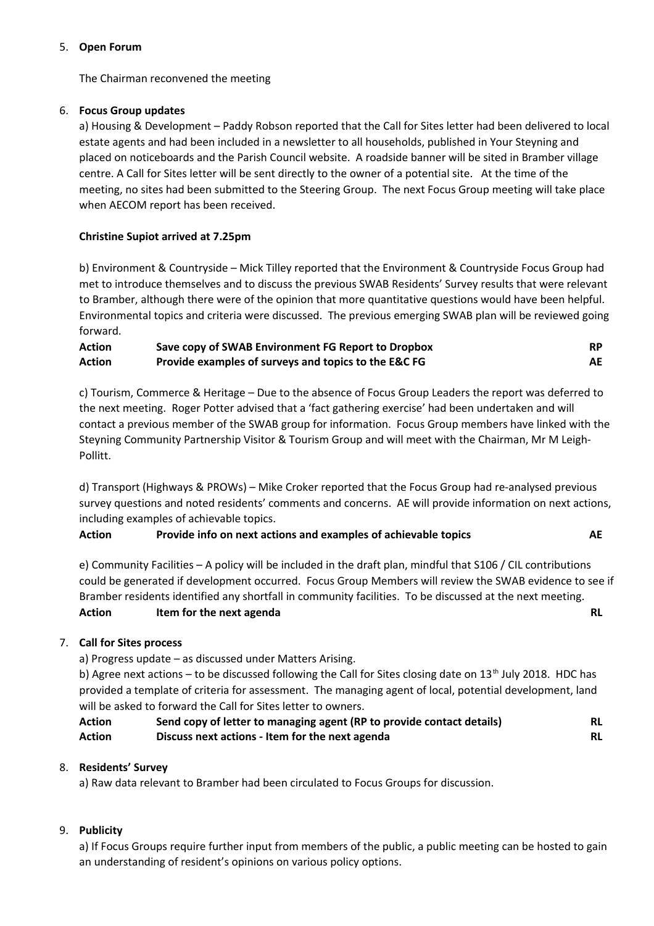#### 5. **Open Forum**

The Chairman reconvened the meeting

#### 6. **Focus Group updates**

a) Housing & Development – Paddy Robson reported that the Call for Sites letter had been delivered to local estate agents and had been included in a newsletter to all households, published in Your Steyning and placed on noticeboards and the Parish Council website. A roadside banner will be sited in Bramber village centre. A Call for Sites letter will be sent directly to the owner of a potential site. At the time of the meeting, no sites had been submitted to the Steering Group. The next Focus Group meeting will take place when AECOM report has been received.

#### **Christine Supiot arrived at 7.25pm**

b) Environment & Countryside – Mick Tilley reported that the Environment & Countryside Focus Group had met to introduce themselves and to discuss the previous SWAB Residents' Survey results that were relevant to Bramber, although there were of the opinion that more quantitative questions would have been helpful. Environmental topics and criteria were discussed. The previous emerging SWAB plan will be reviewed going forward.

| <b>Action</b> | Save copy of SWAB Environment FG Report to Dropbox   |    |
|---------------|------------------------------------------------------|----|
| <b>Action</b> | Provide examples of surveys and topics to the E&C FG | AE |

c) Tourism, Commerce & Heritage – Due to the absence of Focus Group Leaders the report was deferred to the next meeting. Roger Potter advised that a 'fact gathering exercise' had been undertaken and will contact a previous member of the SWAB group for information. Focus Group members have linked with the Steyning Community Partnership Visitor & Tourism Group and will meet with the Chairman, Mr M Leigh-Pollitt.

d) Transport (Highways & PROWs) – Mike Croker reported that the Focus Group had re-analysed previous survey questions and noted residents' comments and concerns. AE will provide information on next actions, including examples of achievable topics.

#### **Action Provide info on next actions and examples of achievable topics AE**

e) Community Facilities – A policy will be included in the draft plan, mindful that S106 / CIL contributions could be generated if development occurred. Focus Group Members will review the SWAB evidence to see if Bramber residents identified any shortfall in community facilities. To be discussed at the next meeting. **Action Item for the next agenda RL**

# 7. **Call for Sites process**

a) Progress update – as discussed under Matters Arising.

b) Agree next actions – to be discussed following the Call for Sites closing date on  $13<sup>th</sup>$  July 2018. HDC has provided a template of criteria for assessment. The managing agent of local, potential development, land will be asked to forward the Call for Sites letter to owners.

| Action | Send copy of letter to managing agent (RP to provide contact details) | RL |
|--------|-----------------------------------------------------------------------|----|
| Action | Discuss next actions - Item for the next agenda                       | RL |

# 8. **Residents' Survey**

a) Raw data relevant to Bramber had been circulated to Focus Groups for discussion.

# 9. **Publicity**

a) If Focus Groups require further input from members of the public, a public meeting can be hosted to gain an understanding of resident's opinions on various policy options.